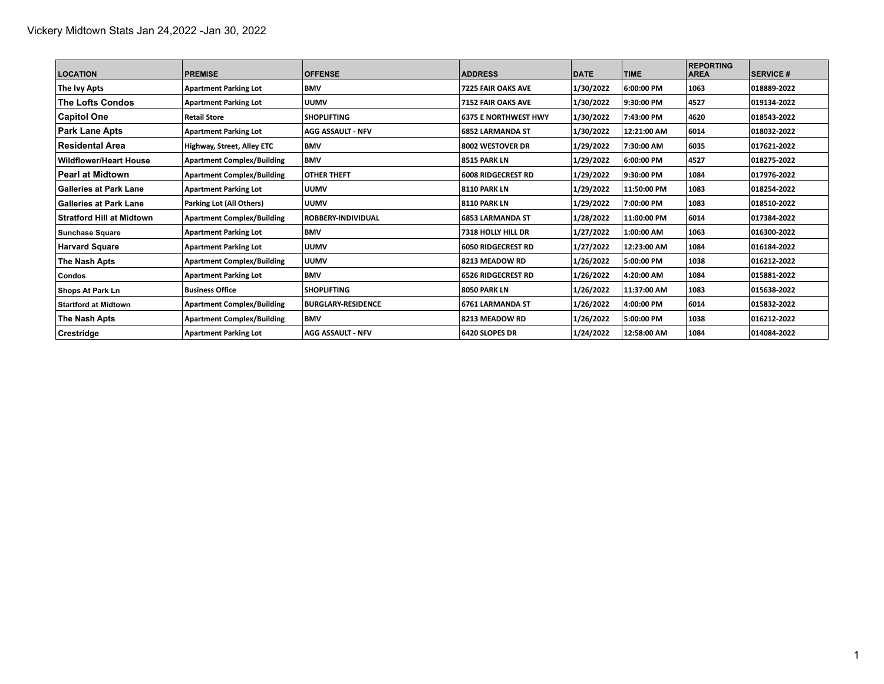| <b>LOCATION</b>                  | <b>PREMISE</b>                    | <b>OFFENSE</b>            | <b>ADDRESS</b>              | <b>DATE</b> | <b>TIME</b> | <b>REPORTING</b><br><b>AREA</b> | <b>SERVICE #</b> |
|----------------------------------|-----------------------------------|---------------------------|-----------------------------|-------------|-------------|---------------------------------|------------------|
| The Ivy Apts                     | <b>Apartment Parking Lot</b>      | <b>BMV</b>                | 7225 FAIR OAKS AVE          | 1/30/2022   | 6:00:00 PM  | 1063                            | 018889-2022      |
| <b>The Lofts Condos</b>          | <b>Apartment Parking Lot</b>      | <b>UUMV</b>               | 7152 FAIR OAKS AVE          | 1/30/2022   | 9:30:00 PM  | 4527                            | 019134-2022      |
| <b>Capitol One</b>               | <b>Retail Store</b>               | <b>SHOPLIFTING</b>        | <b>6375 E NORTHWEST HWY</b> | 1/30/2022   | 7:43:00 PM  | 4620                            | 018543-2022      |
| <b>Park Lane Apts</b>            | <b>Apartment Parking Lot</b>      | <b>AGG ASSAULT - NFV</b>  | <b>6852 LARMANDA ST</b>     | 1/30/2022   | 12:21:00 AM | 6014                            | 018032-2022      |
| <b>Residental Area</b>           | Highway, Street, Alley ETC        | <b>BMV</b>                | 8002 WESTOVER DR            | 1/29/2022   | 7:30:00 AM  | 6035                            | 017621-2022      |
| <b>Wildflower/Heart House</b>    | <b>Apartment Complex/Building</b> | <b>BMV</b>                | <b>8515 PARK LN</b>         | 1/29/2022   | 6:00:00 PM  | 4527                            | 018275-2022      |
| <b>Pearl at Midtown</b>          | <b>Apartment Complex/Building</b> | <b>OTHER THEFT</b>        | <b>6008 RIDGECREST RD</b>   | 1/29/2022   | 9:30:00 PM  | 1084                            | 017976-2022      |
| <b>Galleries at Park Lane</b>    | <b>Apartment Parking Lot</b>      | <b>UUMV</b>               | <b>8110 PARK LN</b>         | 1/29/2022   | 11:50:00 PM | 1083                            | 018254-2022      |
| ∣Galleries at Park Lane          | Parking Lot (All Others)          | <b>UUMV</b>               | <b>8110 PARK LN</b>         | 1/29/2022   | 7:00:00 PM  | 1083                            | 018510-2022      |
| <b>Stratford Hill at Midtown</b> | <b>Apartment Complex/Building</b> | <b>ROBBERY-INDIVIDUAL</b> | <b>6853 LARMANDA ST</b>     | 1/28/2022   | 11:00:00 PM | 6014                            | 017384-2022      |
| <b>Sunchase Square</b>           | <b>Apartment Parking Lot</b>      | <b>BMV</b>                | 7318 HOLLY HILL DR          | 1/27/2022   | 1:00:00 AM  | 1063                            | 016300-2022      |
| <b>Harvard Square</b>            | <b>Apartment Parking Lot</b>      | <b>UUMV</b>               | <b>6050 RIDGECREST RD</b>   | 1/27/2022   | 12:23:00 AM | 1084                            | 016184-2022      |
| The Nash Apts                    | <b>Apartment Complex/Building</b> | <b>UUMV</b>               | 8213 MEADOW RD              | 1/26/2022   | 5:00:00 PM  | 1038                            | 016212-2022      |
| <b>Condos</b>                    | <b>Apartment Parking Lot</b>      | <b>BMV</b>                | <b>6526 RIDGECREST RD</b>   | 1/26/2022   | 4:20:00 AM  | 1084                            | 015881-2022      |
| Shops At Park Ln                 | <b>Business Office</b>            | <b>SHOPLIFTING</b>        | 8050 PARK LN                | 1/26/2022   | 11:37:00 AM | 1083                            | 015638-2022      |
| <b>Startford at Midtown</b>      | <b>Apartment Complex/Building</b> | <b>BURGLARY-RESIDENCE</b> | 6761 LARMANDA ST            | 1/26/2022   | 4:00:00 PM  | 6014                            | 015832-2022      |
| The Nash Apts                    | <b>Apartment Complex/Building</b> | <b>BMV</b>                | 8213 MEADOW RD              | 1/26/2022   | 5:00:00 PM  | 1038                            | 016212-2022      |
| <b>Crestridge</b>                | <b>Apartment Parking Lot</b>      | <b>AGG ASSAULT - NFV</b>  | 6420 SLOPES DR              | 1/24/2022   | 12:58:00 AM | 1084                            | 014084-2022      |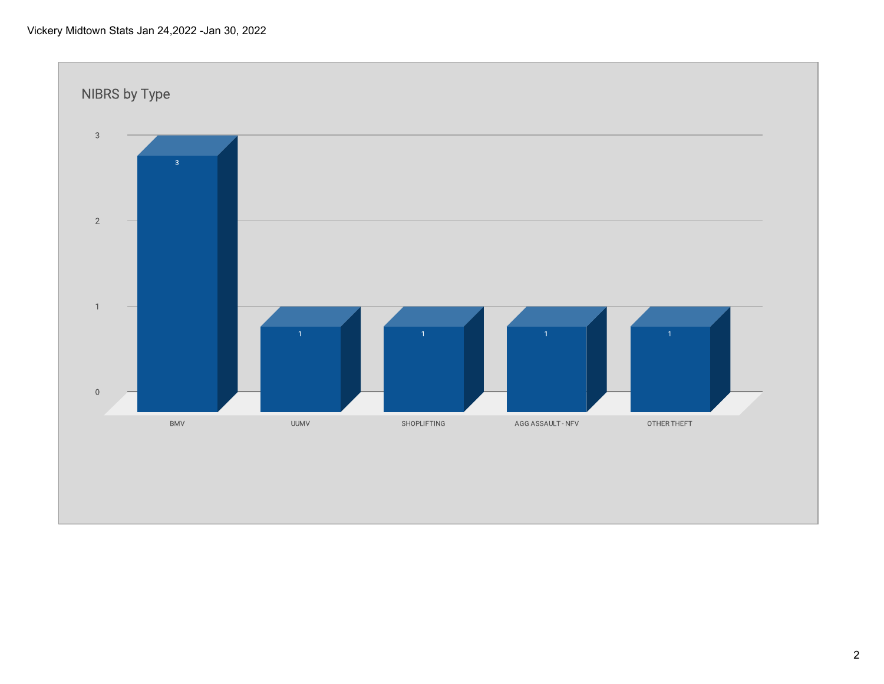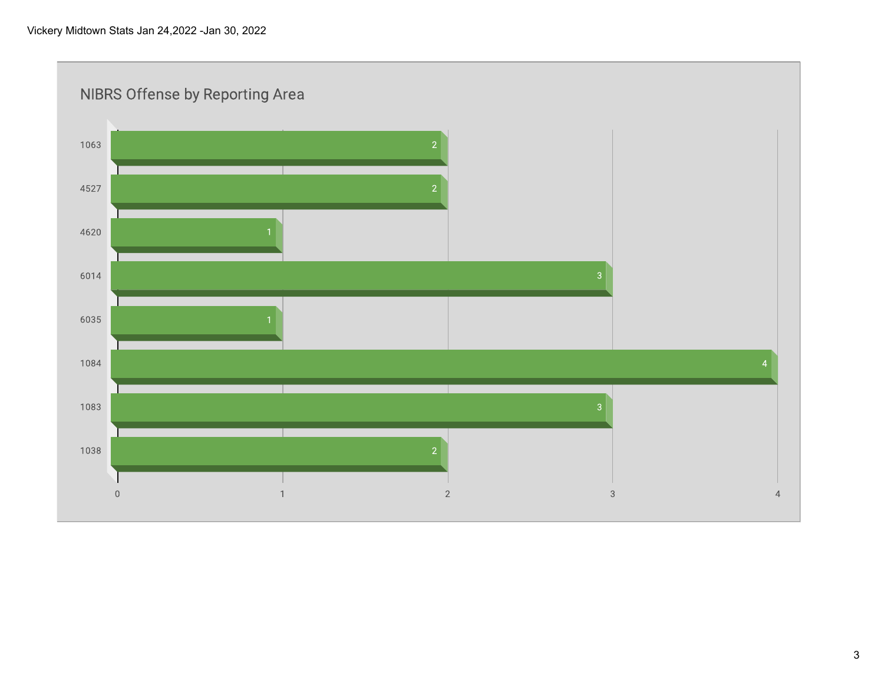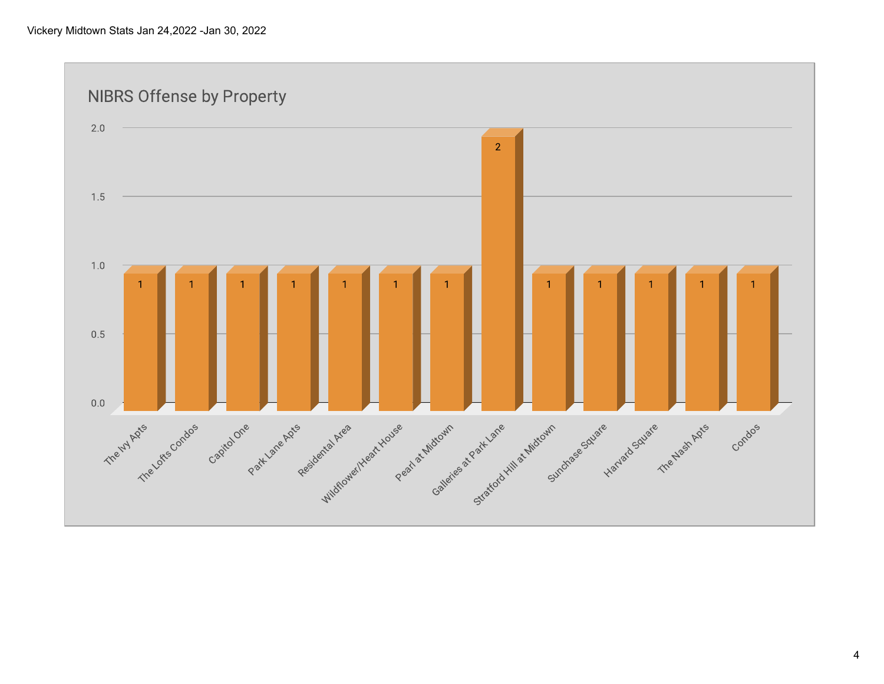